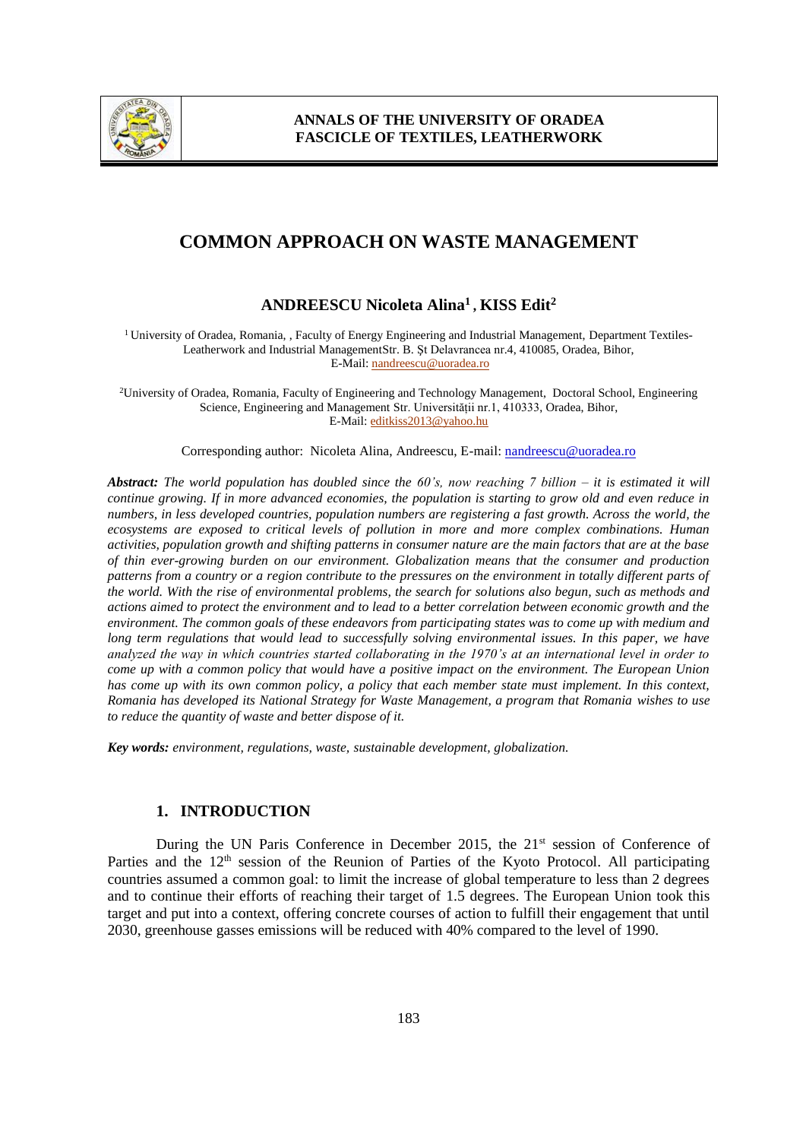

# **COMMON APPROACH ON WASTE MANAGEMENT**

## **ANDREESCU Nicoleta Alina<sup>1</sup> , KISS Edit<sup>2</sup>**

<sup>1</sup> University of Oradea, Romania, , Faculty of Energy Engineering and Industrial Management, Department Textiles-Leatherwork and Industrial ManagementStr. B. Şt Delavrancea nr.4, 410085, Oradea, Bihor, E-Mail[: nandreescu@uoradea.ro](mailto:nandreescu@uoradea.ro)

<sup>2</sup>University of Oradea, Romania, Faculty of Engineering and Technology Management, Doctoral School, Engineering Science, Engineering and Management Str. Universității nr.1, 410333, Oradea, Bihor, E-Mail[: editkiss2013@yahoo.hu](mailto:editkiss2013@yahoo.hu)

Corresponding author: Nicoleta Alina, Andreescu, E-mail: nandreescu@uoradea.ro

*Abstract: The world population has doubled since the 60's, now reaching 7 billion – it is estimated it will continue growing. If in more advanced economies, the population is starting to grow old and even reduce in numbers, in less developed countries, population numbers are registering a fast growth. Across the world, the ecosystems are exposed to critical levels of pollution in more and more complex combinations. Human activities, population growth and shifting patterns in consumer nature are the main factors that are at the base of thin ever-growing burden on our environment. Globalization means that the consumer and production patterns from a country or a region contribute to the pressures on the environment in totally different parts of the world. With the rise of environmental problems, the search for solutions also begun, such as methods and actions aimed to protect the environment and to lead to a better correlation between economic growth and the environment. The common goals of these endeavors from participating states was to come up with medium and long term regulations that would lead to successfully solving environmental issues. In this paper, we have analyzed the way in which countries started collaborating in the 1970's at an international level in order to come up with a common policy that would have a positive impact on the environment. The European Union*  has come up with its own common policy, a policy that each member state must implement. In this context, *Romania has developed its National Strategy for Waste Management, a program that Romania wishes to use to reduce the quantity of waste and better dispose of it.*

*Key words: environment, regulations, waste, sustainable development, globalization.*

## **1. INTRODUCTION**

During the UN Paris Conference in December 2015, the 21<sup>st</sup> session of Conference of Parties and the  $12<sup>th</sup>$  session of the Reunion of Parties of the Kyoto Protocol. All participating countries assumed a common goal: to limit the increase of global temperature to less than 2 degrees and to continue their efforts of reaching their target of 1.5 degrees. The European Union took this target and put into a context, offering concrete courses of action to fulfill their engagement that until 2030, greenhouse gasses emissions will be reduced with 40% compared to the level of 1990.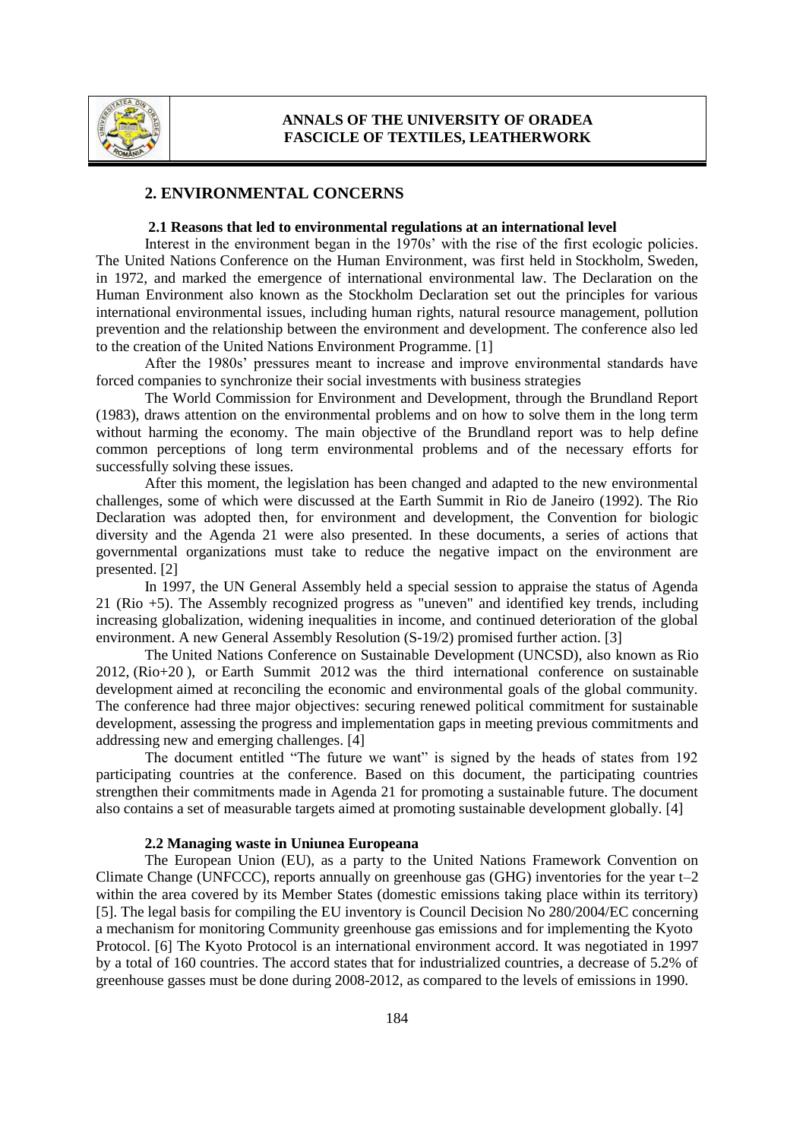

#### **2. ENVIRONMENTAL CONCERNS**

#### **2.1 Reasons that led to environmental regulations at an international level**

Interest in the environment began in the 1970s' with the rise of the first ecologic policies. The United Nations [Conference on the Human Environment,](https://en.wikipedia.org/wiki/Conference_on_the_Human_Environment) was first held in [Stockholm,](https://en.wikipedia.org/wiki/Stockholm) [Sweden,](https://en.wikipedia.org/wiki/Sweden) in 1972, and marked the emergence of international environmental law. The Declaration on the Human Environment also known as the Stockholm Declaration set out the principles for various international environmental issues, including human rights, natural resource management, pollution prevention and the relationship between the environment and development. The conference also led to the creation of the [United Nations Environment Programme.](https://en.wikipedia.org/wiki/United_Nations_Environment_Programme) [1]

After the 1980s' pressures meant to increase and improve environmental standards have forced companies to synchronize their social investments with business strategies

The World Commission for Environment and Development, through the Brundland Report (1983), draws attention on the environmental problems and on how to solve them in the long term without harming the economy. The main objective of the Brundland report was to help define common perceptions of long term environmental problems and of the necessary efforts for successfully solving these issues.

After this moment, the legislation has been changed and adapted to the new environmental challenges, some of which were discussed at the Earth Summit in Rio de Janeiro (1992). The Rio Declaration was adopted then, for environment and development, the Convention for biologic diversity and the Agenda 21 were also presented. In these documents, a series of actions that governmental organizations must take to reduce the negative impact on the environment are presented. [2]

In 1997, the UN General Assembly held a special session to appraise the status of Agenda 21 (Rio +5). The Assembly recognized progress as "uneven" and identified key trends, including increasing globalization, widening inequalities in income, and continued deterioration of the global environment. A new General Assembly Resolution (S-19/2) promised further action. [3]

The United Nations Conference on Sustainable Development (UNCSD), also known as Rio 2012, (Rio+20 ), or Earth Summit 2012 was the third international conference on [sustainable](https://en.wikipedia.org/wiki/Sustainable_development)  [development](https://en.wikipedia.org/wiki/Sustainable_development) aimed at reconciling the economic and environmental goals of the global community. The conference had three major objectives: securing renewed political commitment for sustainable development, assessing the progress and implementation gaps in meeting previous commitments and addressing new and emerging challenges. [4]

The document entitled "The future we want" is signed by the heads of states from 192 participating countries at the conference. Based on this document, the participating countries strengthen their commitments made in Agenda 21 for promoting a sustainable future. The document also contains a set of measurable targets aimed at promoting sustainable development globally. [4]

#### **2.2 Managing waste in Uniunea Europeana**

The European Union (EU), as a party to the United Nations Framework Convention on Climate Change (UNFCCC), reports annually on greenhouse gas (GHG) inventories for the year  $t-2$ within the area covered by its Member States (domestic emissions taking place within its territory) [5]. The legal basis for compiling the EU inventory is Council Decision No 280/2004/EC concerning a mechanism for monitoring Community greenhouse gas emissions and for implementing the Kyoto Protocol. [6] The Kyoto Protocol is an international environment accord. It was negotiated in 1997 by a total of 160 countries. The accord states that for industrialized countries, a decrease of 5.2% of greenhouse gasses must be done during 2008-2012, as compared to the levels of emissions in 1990.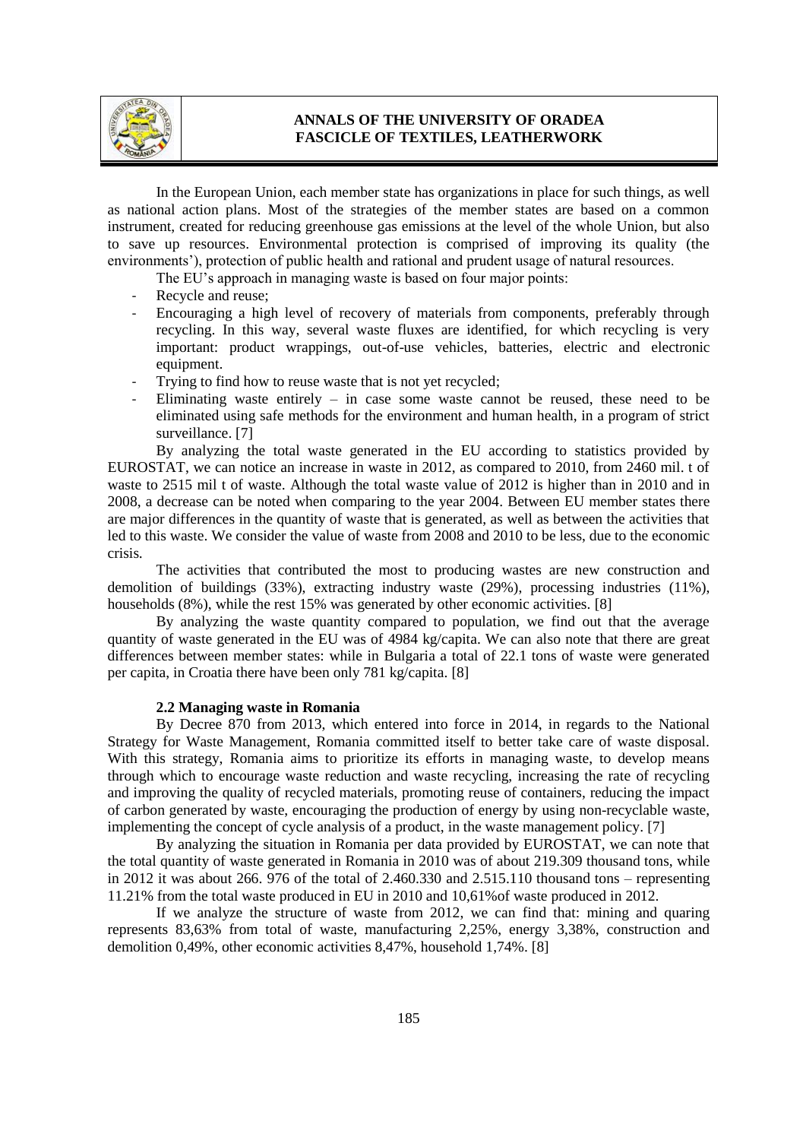

## **ANNALS OF THE UNIVERSITY OF ORADEA FASCICLE OF TEXTILES, LEATHERWORK**

In the European Union, each member state has organizations in place for such things, as well as national action plans. Most of the strategies of the member states are based on a common instrument, created for reducing greenhouse gas emissions at the level of the whole Union, but also to save up resources. Environmental protection is comprised of improving its quality (the environments'), protection of public health and rational and prudent usage of natural resources.

- The EU's approach in managing waste is based on four major points:
- Recycle and reuse;
- Encouraging a high level of recovery of materials from components, preferably through recycling. In this way, several waste fluxes are identified, for which recycling is very important: product wrappings, out-of-use vehicles, batteries, electric and electronic equipment.
- Trying to find how to reuse waste that is not yet recycled;
- Eliminating waste entirely in case some waste cannot be reused, these need to be eliminated using safe methods for the environment and human health, in a program of strict surveillance. [7]

By analyzing the total waste generated in the EU according to statistics provided by EUROSTAT, we can notice an increase in waste in 2012, as compared to 2010, from 2460 mil. t of waste to 2515 mil t of waste. Although the total waste value of 2012 is higher than in 2010 and in 2008, a decrease can be noted when comparing to the year 2004. Between EU member states there are major differences in the quantity of waste that is generated, as well as between the activities that led to this waste. We consider the value of waste from 2008 and 2010 to be less, due to the economic crisis.

The activities that contributed the most to producing wastes are new construction and demolition of buildings (33%), extracting industry waste (29%), processing industries (11%), households (8%), while the rest 15% was generated by other economic activities. [8]

By analyzing the waste quantity compared to population, we find out that the average quantity of waste generated in the EU was of 4984 kg/capita. We can also note that there are great differences between member states: while in Bulgaria a total of 22.1 tons of waste were generated per capita, in Croatia there have been only 781 kg/capita. [8]

#### **2.2 Managing waste in Romania**

By Decree 870 from 2013, which entered into force in 2014, in regards to the National Strategy for Waste Management, Romania committed itself to better take care of waste disposal. With this strategy, Romania aims to prioritize its efforts in managing waste, to develop means through which to encourage waste reduction and waste recycling, increasing the rate of recycling and improving the quality of recycled materials, promoting reuse of containers, reducing the impact of carbon generated by waste, encouraging the production of energy by using non-recyclable waste, implementing the concept of cycle analysis of a product, in the waste management policy. [7]

By analyzing the situation in Romania per data provided by EUROSTAT, we can note that the total quantity of waste generated in Romania in 2010 was of about 219.309 thousand tons, while in 2012 it was about 266. 976 of the total of 2.460.330 and 2.515.110 thousand tons – representing 11.21% from the total waste produced in EU in 2010 and 10,61%of waste produced in 2012.

If we analyze the structure of waste from 2012, we can find that: mining and quaring represents 83,63% from total of waste, manufacturing 2,25%, energy 3,38%, construction and demolition 0,49%, other economic activities 8,47%, household 1,74%. [8]